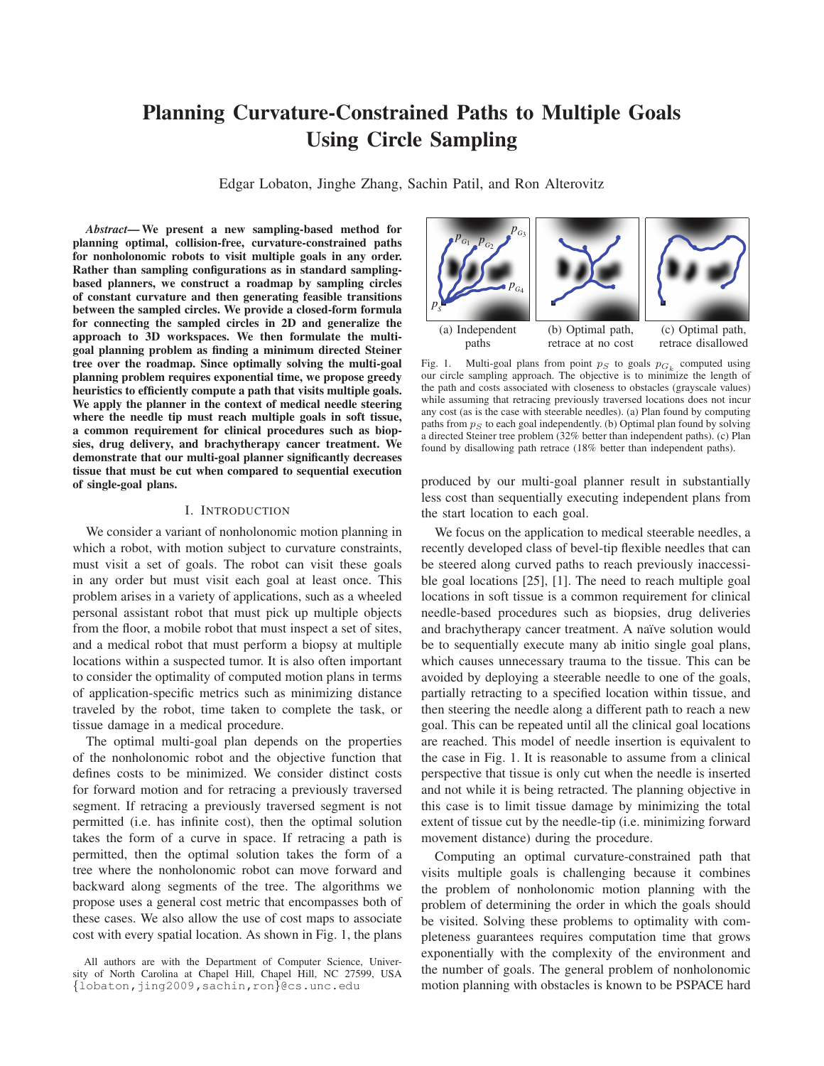# **Planning Curvature-Constrained Paths to Multiple Goals Using Circle Sampling**

Edgar Lobaton, Jinghe Zhang, Sachin Patil, and Ron Alterovitz

*Abstract***—We present a new sampling-based method for planning optimal, collision-free, curvature-constrained paths for nonholonomic robots to visit multiple goals in any order. Rather than sampling configurations as in standard samplingbased planners, we construct a roadmap by sampling circles of constant curvature and then generating feasible transitions between the sampled circles. We provide a closed-form formula for connecting the sampled circles in 2D and generalize the approach to 3D workspaces. We then formulate the multigoal planning problem as finding a minimum directed Steiner tree over the roadmap. Since optimally solving the multi-goal planning problem requires exponential time, we propose greedy heuristics to efficiently compute a path that visits multiple goals. We apply the planner in the context of medical needle steering where the needle tip must reach multiple goals in soft tissue, a common requirement for clinical procedures such as biopsies, drug delivery, and brachytherapy cancer treatment. We demonstrate that our multi-goal planner significantly decreases tissue that must be cut when compared to sequential execution of single-goal plans.**

## I. INTRODUCTION

We consider a variant of nonholonomic motion planning in which a robot, with motion subject to curvature constraints, must visit a set of goals. The robot can visit these goals in any order but must visit each goal at least once. This problem arises in a variety of applications, such as a wheeled personal assistant robot that must pick up multiple objects from the floor, a mobile robot that must inspect a set of sites, and a medical robot that must perform a biopsy at multiple locations within a suspected tumor. It is also often important to consider the optimality of computed motion plans in terms of application-specific metrics such as minimizing distance traveled by the robot, time taken to complete the task, or tissue damage in a medical procedure.

The optimal multi-goal plan depends on the properties of the nonholonomic robot and the objective function that defines costs to be minimized. We consider distinct costs for forward motion and for retracing a previously traversed segment. If retracing a previously traversed segment is not permitted (i.e. has infinite cost), then the optimal solution takes the form of a curve in space. If retracing a path is permitted, then the optimal solution takes the form of a tree where the nonholonomic robot can move forward and backward along segments of the tree. The algorithms we propose uses a general cost metric that encompasses both of these cases. We also allow the use of cost maps to associate cost with every spatial location. As shown in Fig. 1, the plans



paths

(c) Optimal path, retrace disallowed

Fig. 1. Multi-goal plans from point  $p_S$  to goals  $p_{G_k}$  computed using our circle sampling approach. The objective is to minimize the length of the path and costs associated with closeness to obstacles (grayscale values) while assuming that retracing previously traversed locations does not incur any cost (as is the case with steerable needles). (a) Plan found by computing paths from  $p<sub>S</sub>$  to each goal independently. (b) Optimal plan found by solving a directed Steiner tree problem (32% better than independent paths). (c) Plan found by disallowing path retrace (18% better than independent paths).

produced by our multi-goal planner result in substantially less cost than sequentially executing independent plans from the start location to each goal.

We focus on the application to medical steerable needles, a recently developed class of bevel-tip flexible needles that can be steered along curved paths to reach previously inaccessible goal locations [25], [1]. The need to reach multiple goal locations in soft tissue is a common requirement for clinical needle-based procedures such as biopsies, drug deliveries and brachytherapy cancer treatment. A naïve solution would be to sequentially execute many ab initio single goal plans, which causes unnecessary trauma to the tissue. This can be avoided by deploying a steerable needle to one of the goals, partially retracting to a specified location within tissue, and then steering the needle along a different path to reach a new goal. This can be repeated until all the clinical goal locations are reached. This model of needle insertion is equivalent to the case in Fig. 1. It is reasonable to assume from a clinical perspective that tissue is only cut when the needle is inserted and not while it is being retracted. The planning objective in this case is to limit tissue damage by minimizing the total extent of tissue cut by the needle-tip (i.e. minimizing forward movement distance) during the procedure.

Computing an optimal curvature-constrained path that visits multiple goals is challenging because it combines the problem of nonholonomic motion planning with the problem of determining the order in which the goals should be visited. Solving these problems to optimality with completeness guarantees requires computation time that grows exponentially with the complexity of the environment and the number of goals. The general problem of nonholonomic motion planning with obstacles is known to be PSPACE hard

All authors are with the Department of Computer Science, University of North Carolina at Chapel Hill, Chapel Hill, NC 27599, USA {lobaton,jing2009,sachin,ron}@cs.unc.edu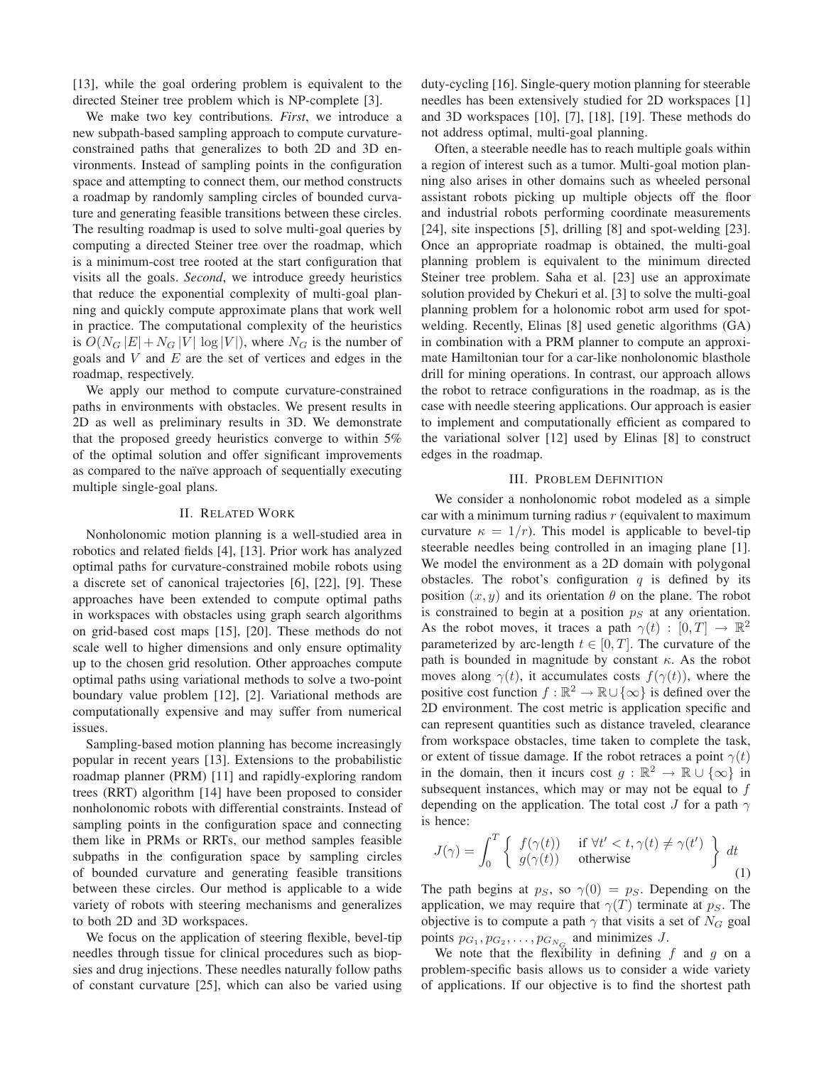[13], while the goal ordering problem is equivalent to the directed Steiner tree problem which is NP-complete [3].

We make two key contributions. *First*, we introduce a new subpath-based sampling approach to compute curvatureconstrained paths that generalizes to both 2D and 3D environments. Instead of sampling points in the configuration space and attempting to connect them, our method constructs a roadmap by randomly sampling circles of bounded curvature and generating feasible transitions between these circles. The resulting roadmap is used to solve multi-goal queries by computing a directed Steiner tree over the roadmap, which is a minimum-cost tree rooted at the start configuration that visits all the goals. *Second*, we introduce greedy heuristics that reduce the exponential complexity of multi-goal planning and quickly compute approximate plans that work well in practice. The computational complexity of the heuristics is  $O(N_G |E| + N_G |V| \log |V|)$ , where  $N_G$  is the number of goals and  $V$  and  $E$  are the set of vertices and edges in the roadmap, respectively.

We apply our method to compute curvature-constrained paths in environments with obstacles. We present results in 2D as well as preliminary results in 3D. We demonstrate that the proposed greedy heuristics converge to within 5% of the optimal solution and offer significant improvements as compared to the naïve approach of sequentially executing multiple single-goal plans.

## II. RELATED WORK

Nonholonomic motion planning is a well-studied area in robotics and related fields [4], [13]. Prior work has analyzed optimal paths for curvature-constrained mobile robots using a discrete set of canonical trajectories [6], [22], [9]. These approaches have been extended to compute optimal paths in workspaces with obstacles using graph search algorithms on grid-based cost maps [15], [20]. These methods do not scale well to higher dimensions and only ensure optimality up to the chosen grid resolution. Other approaches compute optimal paths using variational methods to solve a two-point boundary value problem [12], [2]. Variational methods are computationally expensive and may suffer from numerical issues.

Sampling-based motion planning has become increasingly popular in recent years [13]. Extensions to the probabilistic roadmap planner (PRM) [11] and rapidly-exploring random trees (RRT) algorithm [14] have been proposed to consider nonholonomic robots with differential constraints. Instead of sampling points in the configuration space and connecting them like in PRMs or RRTs, our method samples feasible subpaths in the configuration space by sampling circles of bounded curvature and generating feasible transitions between these circles. Our method is applicable to a wide variety of robots with steering mechanisms and generalizes to both 2D and 3D workspaces.

We focus on the application of steering flexible, bevel-tip needles through tissue for clinical procedures such as biopsies and drug injections. These needles naturally follow paths of constant curvature [25], which can also be varied using duty-cycling [16]. Single-query motion planning for steerable needles has been extensively studied for 2D workspaces [1] and 3D workspaces [10], [7], [18], [19]. These methods do not address optimal, multi-goal planning.

Often, a steerable needle has to reach multiple goals within a region of interest such as a tumor. Multi-goal motion planning also arises in other domains such as wheeled personal assistant robots picking up multiple objects off the floor and industrial robots performing coordinate measurements [24], site inspections [5], drilling [8] and spot-welding [23]. Once an appropriate roadmap is obtained, the multi-goal planning problem is equivalent to the minimum directed Steiner tree problem. Saha et al. [23] use an approximate solution provided by Chekuri et al. [3] to solve the multi-goal planning problem for a holonomic robot arm used for spotwelding. Recently, Elinas [8] used genetic algorithms (GA) in combination with a PRM planner to compute an approximate Hamiltonian tour for a car-like nonholonomic blasthole drill for mining operations. In contrast, our approach allows the robot to retrace configurations in the roadmap, as is the case with needle steering applications. Our approach is easier to implement and computationally efficient as compared to the variational solver [12] used by Elinas [8] to construct edges in the roadmap.

#### III. PROBLEM DEFINITION

We consider a nonholonomic robot modeled as a simple car with a minimum turning radius  $r$  (equivalent to maximum curvature  $\kappa = 1/r$ ). This model is applicable to bevel-tip steerable needles being controlled in an imaging plane [1]. We model the environment as a 2D domain with polygonal obstacles. The robot's configuration  $q$  is defined by its position  $(x, y)$  and its orientation  $\theta$  on the plane. The robot is constrained to begin at a position  $p<sub>S</sub>$  at any orientation. As the robot moves, it traces a path  $\gamma(t) : [0, T] \rightarrow \mathbb{R}^2$ parameterized by arc-length  $t \in [0, T]$ . The curvature of the path is bounded in magnitude by constant  $\kappa$ . As the robot moves along  $\gamma(t)$ , it accumulates costs  $f(\gamma(t))$ , where the positive cost function  $f : \mathbb{R}^2 \to \mathbb{R} \cup {\infty}$  is defined over the 2D environment. The cost metric is application specific and can represent quantities such as distance traveled, clearance from workspace obstacles, time taken to complete the task, or extent of tissue damage. If the robot retraces a point  $\gamma(t)$ in the domain, then it incurs cost  $g : \mathbb{R}^2 \to \mathbb{R} \cup {\infty}$  in subsequent instances, which may or may not be equal to  $f$ depending on the application. The total cost J for a path  $\gamma$ is hence:

$$
J(\gamma) = \int_0^T \left\{ \begin{array}{ll} f(\gamma(t)) & \text{if } \forall t' < t, \gamma(t) \neq \gamma(t') \\ g(\gamma(t)) & \text{otherwise} \end{array} \right\} \, dt \tag{1}
$$

The path begins at  $p_S$ , so  $\gamma(0) = p_S$ . Depending on the application, we may require that  $\gamma(T)$  terminate at  $p_S$ . The objective is to compute a path  $\gamma$  that visits a set of  $N_G$  goal points  $p_{G_1}, p_{G_2}, \ldots, p_{G_{N_G}}$  and minimizes J.

We note that the flexibility in defining  $f$  and  $g$  on a problem-specific basis allows us to consider a wide variety of applications. If our objective is to find the shortest path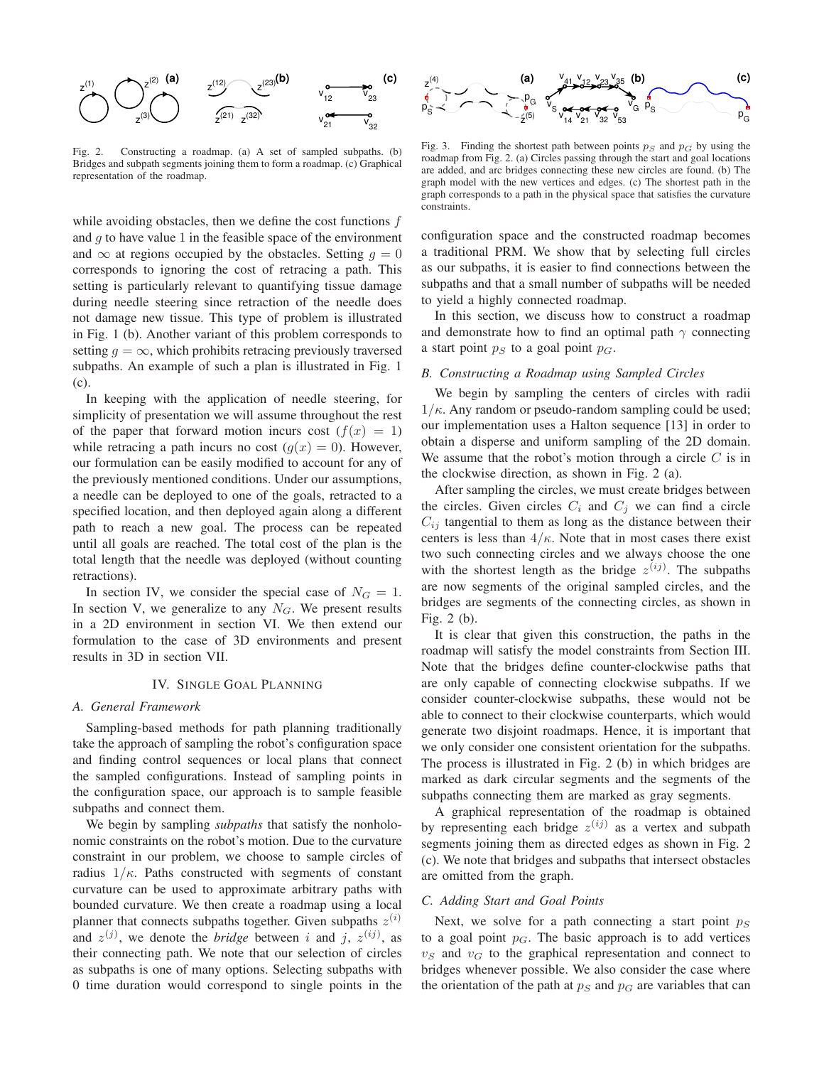

Fig. 2. Constructing a roadmap. (a) A set of sampled subpaths. (b) Bridges and subpath segments joining them to form a roadmap. (c) Graphical representation of the roadmap.

while avoiding obstacles, then we define the cost functions  $f$ and  $q$  to have value 1 in the feasible space of the environment and  $\infty$  at regions occupied by the obstacles. Setting  $q = 0$ corresponds to ignoring the cost of retracing a path. This setting is particularly relevant to quantifying tissue damage during needle steering since retraction of the needle does not damage new tissue. This type of problem is illustrated in Fig. 1 (b). Another variant of this problem corresponds to setting  $q = \infty$ , which prohibits retracing previously traversed subpaths. An example of such a plan is illustrated in Fig. 1 (c).

In keeping with the application of needle steering, for simplicity of presentation we will assume throughout the rest of the paper that forward motion incurs cost  $(f(x) = 1)$ while retracing a path incurs no cost  $(q(x) = 0)$ . However, our formulation can be easily modified to account for any of the previously mentioned conditions. Under our assumptions, a needle can be deployed to one of the goals, retracted to a specified location, and then deployed again along a different path to reach a new goal. The process can be repeated until all goals are reached. The total cost of the plan is the total length that the needle was deployed (without counting retractions).

In section IV, we consider the special case of  $N<sub>G</sub> = 1$ . In section V, we generalize to any  $N<sub>G</sub>$ . We present results in a 2D environment in section VI. We then extend our formulation to the case of 3D environments and present results in 3D in section VII.

## IV. SINGLE GOAL PLANNING

#### *A. General Framework*

Sampling-based methods for path planning traditionally take the approach of sampling the robot's configuration space and finding control sequences or local plans that connect the sampled configurations. Instead of sampling points in the configuration space, our approach is to sample feasible subpaths and connect them.

We begin by sampling *subpaths* that satisfy the nonholonomic constraints on the robot's motion. Due to the curvature constraint in our problem, we choose to sample circles of radius  $1/\kappa$ . Paths constructed with segments of constant curvature can be used to approximate arbitrary paths with bounded curvature. We then create a roadmap using a local planner that connects subpaths together. Given subpaths  $z^{(i)}$ and  $z^{(j)}$ , we denote the *bridge* between i and j,  $z^{(ij)}$ , as their connecting path. We note that our selection of circles as subpaths is one of many options. Selecting subpaths with 0 time duration would correspond to single points in the



Fig. 3. Finding the shortest path between points  $p_S$  and  $p_G$  by using the roadmap from Fig. 2. (a) Circles passing through the start and goal locations are added, and arc bridges connecting these new circles are found. (b) The graph model with the new vertices and edges. (c) The shortest path in the graph corresponds to a path in the physical space that satisfies the curvature constraints.

configuration space and the constructed roadmap becomes a traditional PRM. We show that by selecting full circles as our subpaths, it is easier to find connections between the subpaths and that a small number of subpaths will be needed to yield a highly connected roadmap.

In this section, we discuss how to construct a roadmap and demonstrate how to find an optimal path  $\gamma$  connecting a start point  $p_S$  to a goal point  $p_G$ .

## *B. Constructing a Roadmap using Sampled Circles*

We begin by sampling the centers of circles with radii  $1/\kappa$ . Any random or pseudo-random sampling could be used; our implementation uses a Halton sequence [13] in order to obtain a disperse and uniform sampling of the 2D domain. We assume that the robot's motion through a circle  $C$  is in the clockwise direction, as shown in Fig. 2 (a).

After sampling the circles, we must create bridges between the circles. Given circles  $C_i$  and  $C_j$  we can find a circle  $C_{ij}$  tangential to them as long as the distance between their centers is less than  $4/\kappa$ . Note that in most cases there exist two such connecting circles and we always choose the one with the shortest length as the bridge  $z^{(ij)}$ . The subpaths are now segments of the original sampled circles, and the bridges are segments of the connecting circles, as shown in Fig. 2 (b).

It is clear that given this construction, the paths in the roadmap will satisfy the model constraints from Section III. Note that the bridges define counter-clockwise paths that are only capable of connecting clockwise subpaths. If we consider counter-clockwise subpaths, these would not be able to connect to their clockwise counterparts, which would generate two disjoint roadmaps. Hence, it is important that we only consider one consistent orientation for the subpaths. The process is illustrated in Fig. 2 (b) in which bridges are marked as dark circular segments and the segments of the subpaths connecting them are marked as gray segments.

A graphical representation of the roadmap is obtained by representing each bridge  $z^{(ij)}$  as a vertex and subpath segments joining them as directed edges as shown in Fig. 2 (c). We note that bridges and subpaths that intersect obstacles are omitted from the graph.

# *C. Adding Start and Goal Points*

Next, we solve for a path connecting a start point  $p_S$ to a goal point  $p<sub>G</sub>$ . The basic approach is to add vertices  $v_S$  and  $v_G$  to the graphical representation and connect to bridges whenever possible. We also consider the case where the orientation of the path at  $p<sub>S</sub>$  and  $p<sub>G</sub>$  are variables that can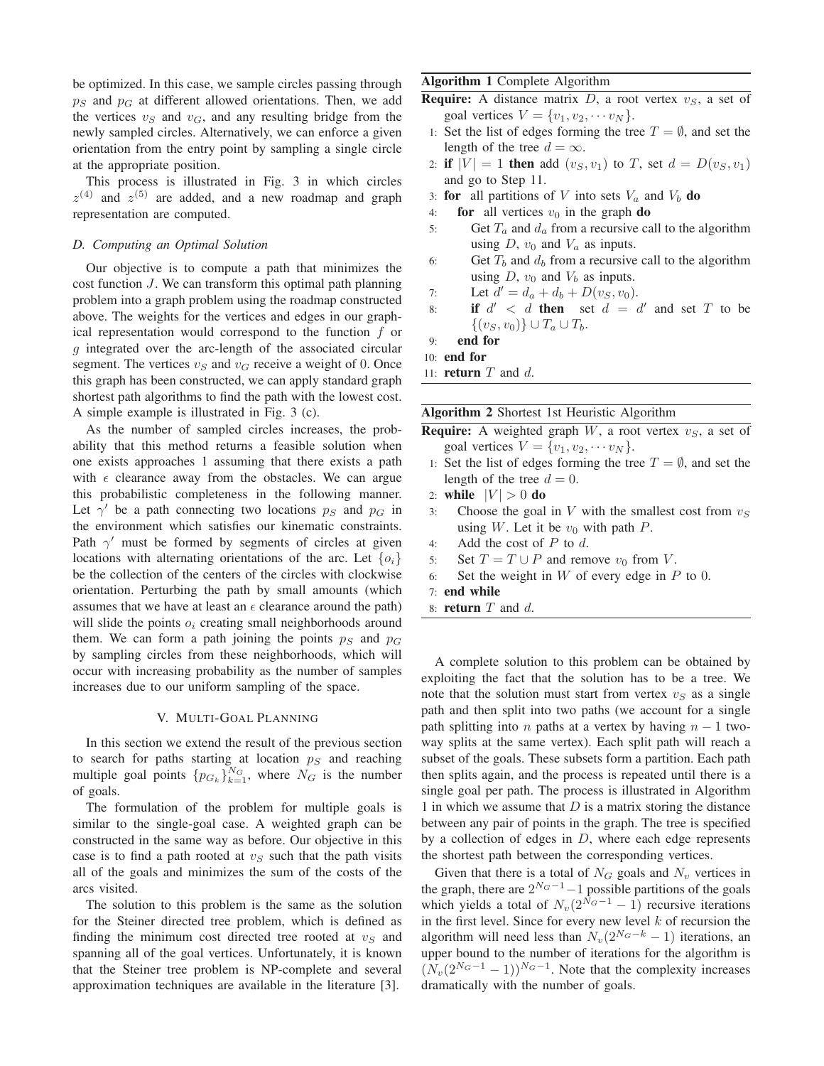be optimized. In this case, we sample circles passing through  $p_S$  and  $p_G$  at different allowed orientations. Then, we add the vertices  $v_S$  and  $v_G$ , and any resulting bridge from the newly sampled circles. Alternatively, we can enforce a given orientation from the entry point by sampling a single circle at the appropriate position.

This process is illustrated in Fig. 3 in which circles  $z^{(4)}$  and  $z^{(5)}$  are added, and a new roadmap and graph representation are computed.

## *D. Computing an Optimal Solution*

Our objective is to compute a path that minimizes the cost function J. We can transform this optimal path planning problem into a graph problem using the roadmap constructed above. The weights for the vertices and edges in our graphical representation would correspond to the function  $f$  or g integrated over the arc-length of the associated circular segment. The vertices  $v<sub>S</sub>$  and  $v<sub>G</sub>$  receive a weight of 0. Once this graph has been constructed, we can apply standard graph shortest path algorithms to find the path with the lowest cost. A simple example is illustrated in Fig. 3 (c).

As the number of sampled circles increases, the probability that this method returns a feasible solution when one exists approaches 1 assuming that there exists a path with  $\epsilon$  clearance away from the obstacles. We can argue this probabilistic completeness in the following manner. Let  $\gamma'$  be a path connecting two locations  $p_S$  and  $p_G$  in the environment which satisfies our kinematic constraints. Path  $\gamma'$  must be formed by segments of circles at given locations with alternating orientations of the arc. Let  $\{o_i\}$ be the collection of the centers of the circles with clockwise orientation. Perturbing the path by small amounts (which assumes that we have at least an  $\epsilon$  clearance around the path) will slide the points  $o_i$  creating small neighborhoods around them. We can form a path joining the points  $p_S$  and  $p_G$ by sampling circles from these neighborhoods, which will occur with increasing probability as the number of samples increases due to our uniform sampling of the space.

#### V. MULTI-GOAL PLANNING

In this section we extend the result of the previous section to search for paths starting at location  $p_S$  and reaching multiple goal points  $\{p_{G_k}\}_{k=1}^{N_G}$ , where  $N_G$  is the number of goals.

The formulation of the problem for multiple goals is similar to the single-goal case. A weighted graph can be constructed in the same way as before. Our objective in this case is to find a path rooted at  $v<sub>S</sub>$  such that the path visits all of the goals and minimizes the sum of the costs of the arcs visited.

The solution to this problem is the same as the solution for the Steiner directed tree problem, which is defined as finding the minimum cost directed tree rooted at  $v_S$  and spanning all of the goal vertices. Unfortunately, it is known that the Steiner tree problem is NP-complete and several approximation techniques are available in the literature [3].

## **Algorithm 1** Complete Algorithm

- **Require:** A distance matrix  $D$ , a root vertex  $v<sub>S</sub>$ , a set of goal vertices  $V = \{v_1, v_2, \cdots v_N\}.$
- 1: Set the list of edges forming the tree  $T = \emptyset$ , and set the length of the tree  $d = \infty$ .
- 2: **if**  $|V| = 1$  **then** add  $(v_S, v_1)$  to T, set  $d = D(v_S, v_1)$ and go to Step 11.
- 3: **for** all partitions of V into sets  $V_a$  and  $V_b$  **do**
- 4: **for** all vertices  $v_0$  in the graph **do**
- 5: Get  $T_a$  and  $d_a$  from a recursive call to the algorithm using  $D$ ,  $v_0$  and  $V_a$  as inputs.
- 6: Get  $T_b$  and  $d_b$  from a recursive call to the algorithm using  $D$ ,  $v_0$  and  $V_b$  as inputs.
- 7: Let  $d' = d_a + d_b + D(v_s, v_0)$ .
- 8: **if**  $d' < d$  **then** set  $d = d'$  and set T to be  $\{(v_S, v_0)\} \cup T_a \cup T_b.$
- 9: **end for**
- 10: **end for**
- 11: **return**  $T$  and  $d$ .

**Algorithm 2** Shortest 1st Heuristic Algorithm

- **Require:** A weighted graph  $W$ , a root vertex  $v_S$ , a set of goal vertices  $V = \{v_1, v_2, \cdots v_N\}.$
- 1: Set the list of edges forming the tree  $T = \emptyset$ , and set the length of the tree  $d = 0$ .
- 2: **while**  $|V| > 0$  **do**
- 3: Choose the goal in  $V$  with the smallest cost from  $v_S$ using W. Let it be  $v_0$  with path P.
- 4: Add the cost of P to d.
- 5: Set  $T = T \cup P$  and remove  $v_0$  from V.
- 6: Set the weight in  $W$  of every edge in  $P$  to 0.
- 7: **end while**
- 8: **return** T and d.

A complete solution to this problem can be obtained by exploiting the fact that the solution has to be a tree. We note that the solution must start from vertex  $v<sub>S</sub>$  as a single path and then split into two paths (we account for a single path splitting into *n* paths at a vertex by having  $n - 1$  twoway splits at the same vertex). Each split path will reach a subset of the goals. These subsets form a partition. Each path then splits again, and the process is repeated until there is a single goal per path. The process is illustrated in Algorithm 1 in which we assume that  $D$  is a matrix storing the distance between any pair of points in the graph. The tree is specified by a collection of edges in  $D$ , where each edge represents the shortest path between the corresponding vertices.

Given that there is a total of  $N_G$  goals and  $N_v$  vertices in the graph, there are  $2^{N_G-1}-1$  possible partitions of the goals which yields a total of  $N_v(2^{\tilde{N}_G-1}-1)$  recursive iterations in the first level. Since for every new level  $k$  of recursion the algorithm will need less than  $N_v(2^{N_G-k}-1)$  iterations, an upper bound to the number of iterations for the algorithm is  $(N_v(2^{N_G-1}-1))^{N_G-1}$ . Note that the complexity increases dramatically with the number of goals.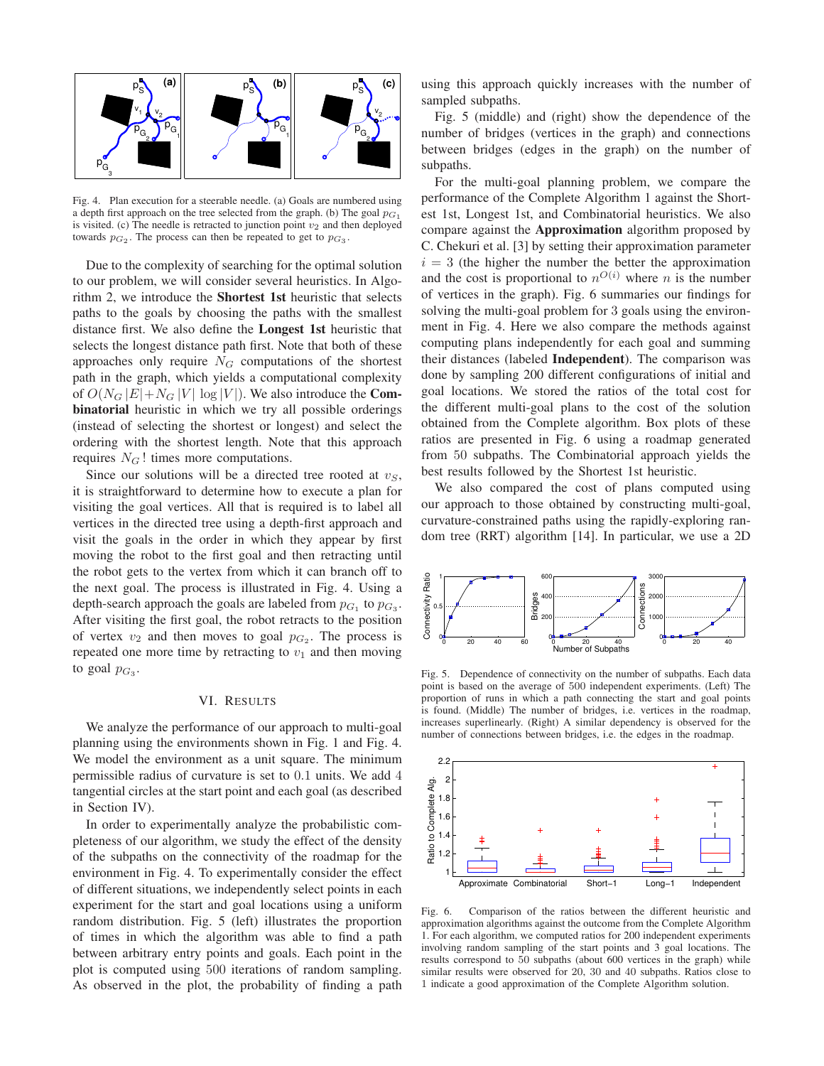

Fig. 4. Plan execution for a steerable needle. (a) Goals are numbered using a depth first approach on the tree selected from the graph. (b) The goal  $p_{G_1}$ is visited. (c) The needle is retracted to junction point  $v_2$  and then deployed towards  $p_{G_2}$ . The process can then be repeated to get to  $p_{G_3}$ .

Due to the complexity of searching for the optimal solution to our problem, we will consider several heuristics. In Algorithm 2, we introduce the **Shortest 1st** heuristic that selects paths to the goals by choosing the paths with the smallest distance first. We also define the **Longest 1st** heuristic that selects the longest distance path first. Note that both of these approaches only require  $N_G$  computations of the shortest path in the graph, which yields a computational complexity of  $O(N_G |E| + N_G |V| \log |V|)$ . We also introduce the **Combinatorial** heuristic in which we try all possible orderings (instead of selecting the shortest or longest) and select the ordering with the shortest length. Note that this approach requires  $N_G!$  times more computations.

Since our solutions will be a directed tree rooted at  $v<sub>S</sub>$ , it is straightforward to determine how to execute a plan for visiting the goal vertices. All that is required is to label all vertices in the directed tree using a depth-first approach and visit the goals in the order in which they appear by first moving the robot to the first goal and then retracting until the robot gets to the vertex from which it can branch off to the next goal. The process is illustrated in Fig. 4. Using a depth-search approach the goals are labeled from  $p_{G_1}$  to  $p_{G_3}$ . After visiting the first goal, the robot retracts to the position of vertex  $v_2$  and then moves to goal  $p_{G_2}$ . The process is repeated one more time by retracting to  $v_1$  and then moving to goal  $p_{G_3}$ .

#### VI. RESULTS

We analyze the performance of our approach to multi-goal planning using the environments shown in Fig. 1 and Fig. 4. We model the environment as a unit square. The minimum permissible radius of curvature is set to 0.1 units. We add 4 tangential circles at the start point and each goal (as described in Section IV).

In order to experimentally analyze the probabilistic completeness of our algorithm, we study the effect of the density of the subpaths on the connectivity of the roadmap for the environment in Fig. 4. To experimentally consider the effect of different situations, we independently select points in each experiment for the start and goal locations using a uniform random distribution. Fig. 5 (left) illustrates the proportion of times in which the algorithm was able to find a path between arbitrary entry points and goals. Each point in the plot is computed using 500 iterations of random sampling. As observed in the plot, the probability of finding a path

using this approach quickly increases with the number of sampled subpaths.

Fig. 5 (middle) and (right) show the dependence of the number of bridges (vertices in the graph) and connections between bridges (edges in the graph) on the number of subpaths.

For the multi-goal planning problem, we compare the performance of the Complete Algorithm 1 against the Shortest 1st, Longest 1st, and Combinatorial heuristics. We also compare against the **Approximation** algorithm proposed by C. Chekuri et al. [3] by setting their approximation parameter  $i = 3$  (the higher the number the better the approximation and the cost is proportional to  $n^{O(i)}$  where n is the number of vertices in the graph). Fig. 6 summaries our findings for solving the multi-goal problem for 3 goals using the environment in Fig. 4. Here we also compare the methods against computing plans independently for each goal and summing their distances (labeled **Independent**). The comparison was done by sampling 200 different configurations of initial and goal locations. We stored the ratios of the total cost for the different multi-goal plans to the cost of the solution obtained from the Complete algorithm. Box plots of these ratios are presented in Fig. 6 using a roadmap generated from 50 subpaths. The Combinatorial approach yields the best results followed by the Shortest 1st heuristic.

We also compared the cost of plans computed using our approach to those obtained by constructing multi-goal, curvature-constrained paths using the rapidly-exploring random tree (RRT) algorithm [14]. In particular, we use a 2D



Fig. 5. Dependence of connectivity on the number of subpaths. Each data point is based on the average of 500 independent experiments. (Left) The proportion of runs in which a path connecting the start and goal points is found. (Middle) The number of bridges, i.e. vertices in the roadmap, increases superlinearly. (Right) A similar dependency is observed for the number of connections between bridges, i.e. the edges in the roadmap.



Fig. 6. Comparison of the ratios between the different heuristic and approximation algorithms against the outcome from the Complete Algorithm 1. For each algorithm, we computed ratios for 200 independent experiments involving random sampling of the start points and 3 goal locations. The results correspond to 50 subpaths (about 600 vertices in the graph) while similar results were observed for 20, 30 and 40 subpaths. Ratios close to 1 indicate a good approximation of the Complete Algorithm solution.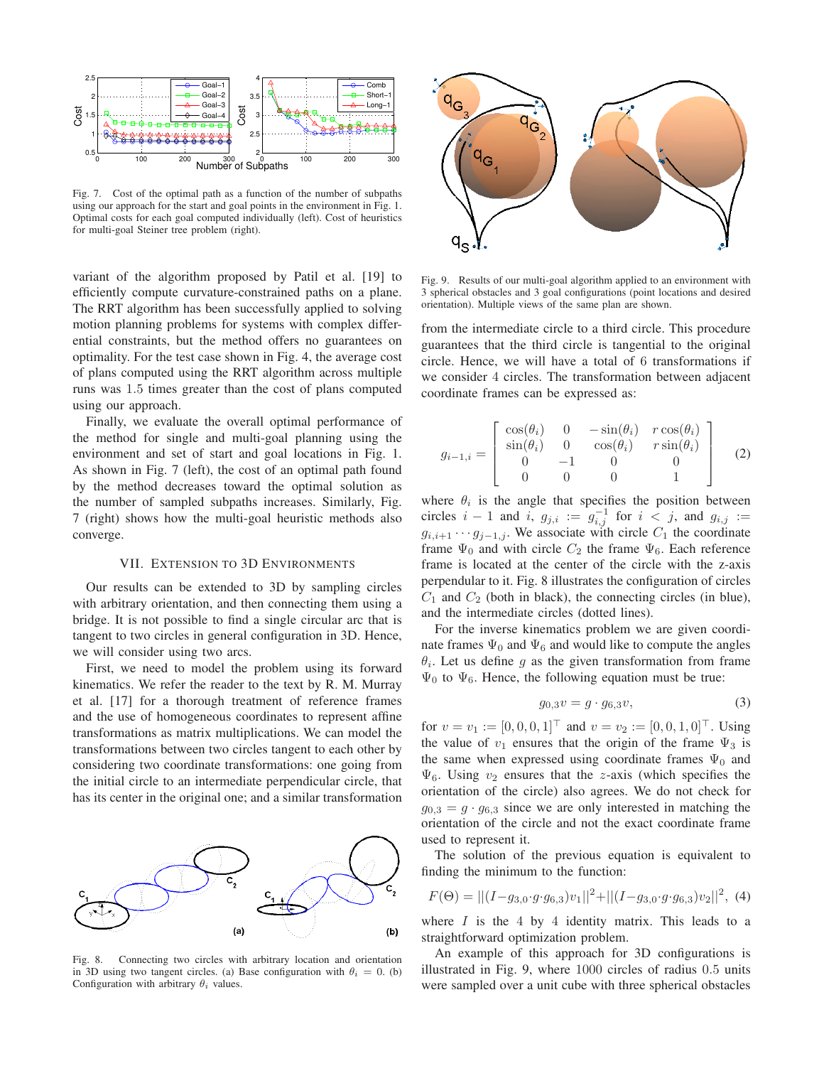

Fig. 7. Cost of the optimal path as a function of the number of subpaths using our approach for the start and goal points in the environment in Fig. 1. Optimal costs for each goal computed individually (left). Cost of heuristics for multi-goal Steiner tree problem (right).

variant of the algorithm proposed by Patil et al. [19] to efficiently compute curvature-constrained paths on a plane. The RRT algorithm has been successfully applied to solving motion planning problems for systems with complex differential constraints, but the method offers no guarantees on optimality. For the test case shown in Fig. 4, the average cost of plans computed using the RRT algorithm across multiple runs was 1.5 times greater than the cost of plans computed using our approach.

Finally, we evaluate the overall optimal performance of the method for single and multi-goal planning using the environment and set of start and goal locations in Fig. 1. As shown in Fig. 7 (left), the cost of an optimal path found by the method decreases toward the optimal solution as the number of sampled subpaths increases. Similarly, Fig. 7 (right) shows how the multi-goal heuristic methods also converge.

#### VII. EXTENSION TO 3D ENVIRONMENTS

Our results can be extended to 3D by sampling circles with arbitrary orientation, and then connecting them using a bridge. It is not possible to find a single circular arc that is tangent to two circles in general configuration in 3D. Hence, we will consider using two arcs.

First, we need to model the problem using its forward kinematics. We refer the reader to the text by R. M. Murray et al. [17] for a thorough treatment of reference frames and the use of homogeneous coordinates to represent affine transformations as matrix multiplications. We can model the transformations between two circles tangent to each other by considering two coordinate transformations: one going from the initial circle to an intermediate perpendicular circle, that has its center in the original one; and a similar transformation



Fig. 8. Connecting two circles with arbitrary location and orientation in 3D using two tangent circles. (a) Base configuration with  $\theta_i = 0$ . (b) Configuration with arbitrary  $\theta_i$  values.



Fig. 9. Results of our multi-goal algorithm applied to an environment with 3 spherical obstacles and 3 goal configurations (point locations and desired orientation). Multiple views of the same plan are shown.

from the intermediate circle to a third circle. This procedure guarantees that the third circle is tangential to the original circle. Hence, we will have a total of 6 transformations if we consider 4 circles. The transformation between adjacent coordinate frames can be expressed as:

$$
g_{i-1,i} = \begin{bmatrix} \cos(\theta_i) & 0 & -\sin(\theta_i) & r\cos(\theta_i) \\ \sin(\theta_i) & 0 & \cos(\theta_i) & r\sin(\theta_i) \\ 0 & -1 & 0 & 0 \\ 0 & 0 & 0 & 1 \end{bmatrix}
$$
 (2)

where  $\theta_i$  is the angle that specifies the position between circles  $i - 1$  and  $i$ ,  $g_{j,i} := g_{i,j}^{-1}$  for  $i < j$ , and  $g_{i,j} :=$  $g_{i,i+1} \cdots g_{j-1,j}$ . We associate with circle  $C_1$  the coordinate frame  $\Psi_0$  and with circle  $C_2$  the frame  $\Psi_6$ . Each reference frame is located at the center of the circle with the z-axis perpendular to it. Fig. 8 illustrates the configuration of circles  $C_1$  and  $C_2$  (both in black), the connecting circles (in blue), and the intermediate circles (dotted lines).

For the inverse kinematics problem we are given coordinate frames  $\Psi_0$  and  $\Psi_6$  and would like to compute the angles  $\theta_i$ . Let us define g as the given transformation from frame  $\Psi_0$  to  $\Psi_6$ . Hence, the following equation must be true:

$$
g_{0,3}v = g \cdot g_{6,3}v,\tag{3}
$$

for  $v = v_1 := [0, 0, 0, 1]^\top$  and  $v = v_2 := [0, 0, 1, 0]^\top$ . Using the value of  $v_1$  ensures that the origin of the frame  $\Psi_3$  is the same when expressed using coordinate frames  $\Psi_0$  and  $\Psi_6$ . Using  $v_2$  ensures that the z-axis (which specifies the orientation of the circle) also agrees. We do not check for  $g_{0,3} = g \cdot g_{6,3}$  since we are only interested in matching the orientation of the circle and not the exact coordinate frame used to represent it.

The solution of the previous equation is equivalent to finding the minimum to the function:

$$
F(\Theta) = ||(I - g_{3,0} \cdot g \cdot g_{6,3})v_1||^2 + ||(I - g_{3,0} \cdot g \cdot g_{6,3})v_2||^2, (4)
$$

where  $I$  is the 4 by 4 identity matrix. This leads to a straightforward optimization problem.

An example of this approach for 3D configurations is illustrated in Fig. 9, where 1000 circles of radius 0.5 units were sampled over a unit cube with three spherical obstacles